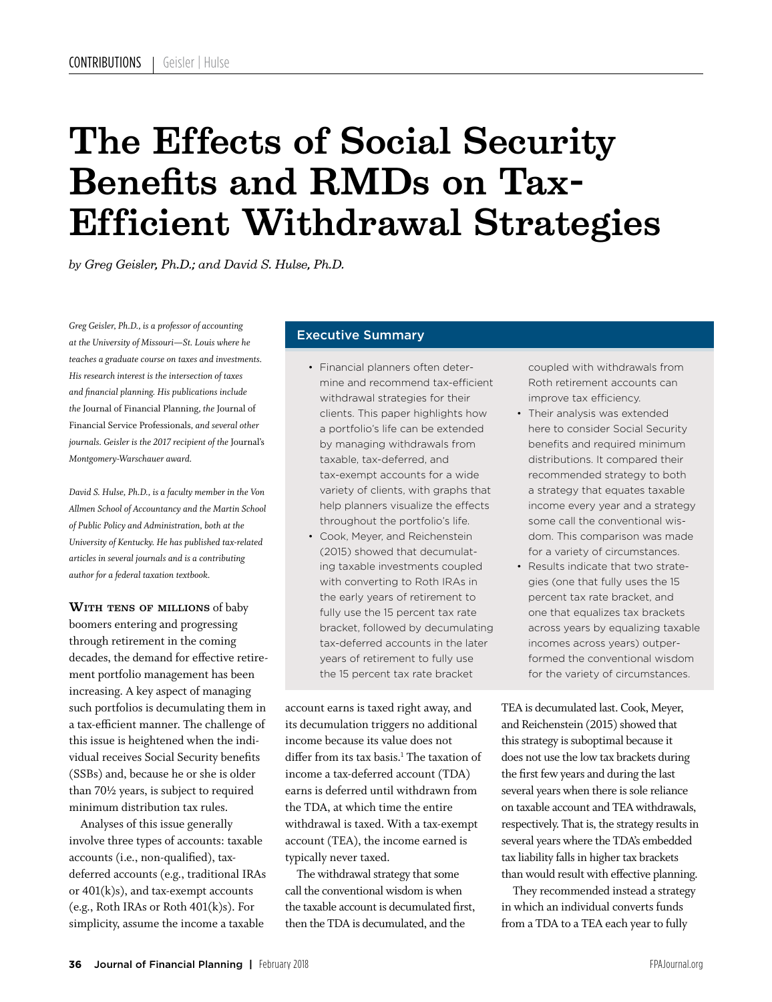# The Effects of Social Security Benefits and RMDs on Tax-Efficient Withdrawal Strategies

*by Greg Geisler, Ph.D.; and David S. Hulse, Ph.D.*

*Greg Geisler, Ph.D., is a professor of accounting at the University of Missouri—St. Louis where he teaches a graduate course on taxes and investments. His research interest is the intersection of taxes and financial planning. His publications include the* Journal of Financial Planning*, the* Journal of Financial Service Professionals*, and several other journals. Geisler is the 2017 recipient of the* Journal's *Montgomery-Warschauer award.*

*David S. Hulse, Ph.D., is a faculty member in the Von Allmen School of Accountancy and the Martin School of Public Policy and Administration, both at the University of Kentucky. He has published tax-related articles in several journals and is a contributing author for a federal taxation textbook.*

WITH TENS OF MILLIONS of baby boomers entering and progressing through retirement in the coming decades, the demand for effective retirement portfolio management has been increasing. A key aspect of managing such portfolios is decumulating them in a tax-efficient manner. The challenge of this issue is heightened when the individual receives Social Security benefits (SSBs) and, because he or she is older than 70½ years, is subject to required minimum distribution tax rules.

Analyses of this issue generally involve three types of accounts: taxable accounts (i.e., non-qualified), taxdeferred accounts (e.g., traditional IRAs or  $401(k)s$ , and tax-exempt accounts (e.g., Roth IRAs or Roth 401(k)s). For simplicity, assume the income a taxable

### Executive Summary

- Financial planners often determine and recommend tax-efficient withdrawal strategies for their clients. This paper highlights how a portfolio's life can be extended by managing withdrawals from taxable, tax-deferred, and tax-exempt accounts for a wide variety of clients, with graphs that help planners visualize the effects throughout the portfolio's life.
- Cook, Meyer, and Reichenstein (2015) showed that decumulating taxable investments coupled with converting to Roth IRAs in the early years of retirement to fully use the 15 percent tax rate bracket, followed by decumulating tax-deferred accounts in the later years of retirement to fully use the 15 percent tax rate bracket

account earns is taxed right away, and its decumulation triggers no additional income because its value does not differ from its tax basis.<sup>1</sup> The taxation of income a tax-deferred account (TDA) earns is deferred until withdrawn from the TDA, at which time the entire withdrawal is taxed. With a tax-exempt account (TEA), the income earned is typically never taxed.

The withdrawal strategy that some call the conventional wisdom is when the taxable account is decumulated first, then the TDA is decumulated, and the

coupled with withdrawals from Roth retirement accounts can improve tax efficiency.

- Their analysis was extended here to consider Social Security benefits and required minimum distributions. It compared their recommended strategy to both a strategy that equates taxable income every year and a strategy some call the conventional wisdom. This comparison was made for a variety of circumstances.
- Results indicate that two strategies (one that fully uses the 15 percent tax rate bracket, and one that equalizes tax brackets across years by equalizing taxable incomes across years) outperformed the conventional wisdom for the variety of circumstances.

TEA is decumulated last. Cook, Meyer, and Reichenstein (2015) showed that this strategy is suboptimal because it does not use the low tax brackets during the first few years and during the last several years when there is sole reliance on taxable account and TEA withdrawals, respectively. That is, the strategy results in several years where the TDA's embedded tax liability falls in higher tax brackets than would result with effective planning.

They recommended instead a strategy in which an individual converts funds from a TDA to a TEA each year to fully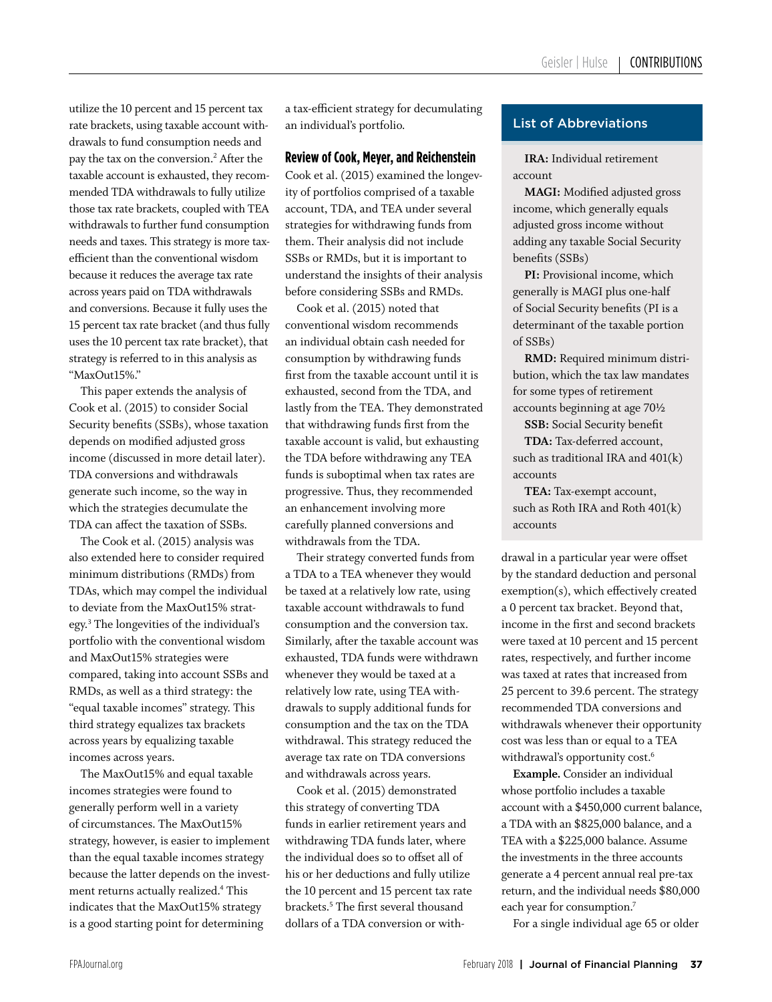utilize the 10 percent and 15 percent tax rate brackets, using taxable account withdrawals to fund consumption needs and pay the tax on the conversion.2 After the taxable account is exhausted, they recommended TDA withdrawals to fully utilize those tax rate brackets, coupled with TEA withdrawals to further fund consumption needs and taxes. This strategy is more taxefficient than the conventional wisdom because it reduces the average tax rate across years paid on TDA withdrawals and conversions. Because it fully uses the 15 percent tax rate bracket (and thus fully uses the 10 percent tax rate bracket), that strategy is referred to in this analysis as "MaxOut15%."

This paper extends the analysis of Cook et al. (2015) to consider Social Security benefits (SSBs), whose taxation depends on modified adjusted gross income (discussed in more detail later). TDA conversions and withdrawals generate such income, so the way in which the strategies decumulate the TDA can affect the taxation of SSBs.

The Cook et al. (2015) analysis was also extended here to consider required minimum distributions (RMDs) from TDAs, which may compel the individual to deviate from the MaxOut15% strategy.3 The longevities of the individual's portfolio with the conventional wisdom and MaxOut15% strategies were compared, taking into account SSBs and RMDs, as well as a third strategy: the "equal taxable incomes" strategy. This third strategy equalizes tax brackets across years by equalizing taxable incomes across years.

The MaxOut15% and equal taxable incomes strategies were found to generally perform well in a variety of circumstances. The MaxOut15% strategy, however, is easier to implement than the equal taxable incomes strategy because the latter depends on the investment returns actually realized.<sup>4</sup> This indicates that the MaxOut15% strategy is a good starting point for determining

a tax-efficient strategy for decumulating an individual's portfolio.

## **Review of Cook, Meyer, and Reichenstein**

Cook et al. (2015) examined the longevity of portfolios comprised of a taxable account, TDA, and TEA under several strategies for withdrawing funds from them. Their analysis did not include SSBs or RMDs, but it is important to understand the insights of their analysis before considering SSBs and RMDs.

Cook et al. (2015) noted that conventional wisdom recommends an individual obtain cash needed for consumption by withdrawing funds first from the taxable account until it is exhausted, second from the TDA, and lastly from the TEA. They demonstrated that withdrawing funds first from the taxable account is valid, but exhausting the TDA before withdrawing any TEA funds is suboptimal when tax rates are progressive. Thus, they recommended an enhancement involving more carefully planned conversions and withdrawals from the TDA.

Their strategy converted funds from a TDA to a TEA whenever they would be taxed at a relatively low rate, using taxable account withdrawals to fund consumption and the conversion tax. Similarly, after the taxable account was exhausted, TDA funds were withdrawn whenever they would be taxed at a relatively low rate, using TEA withdrawals to supply additional funds for consumption and the tax on the TDA withdrawal. This strategy reduced the average tax rate on TDA conversions and withdrawals across years.

Cook et al. (2015) demonstrated this strategy of converting TDA funds in earlier retirement years and withdrawing TDA funds later, where the individual does so to offset all of his or her deductions and fully utilize the 10 percent and 15 percent tax rate brackets.5 The first several thousand dollars of a TDA conversion or with-

## List of Abbreviations

**IRA:** Individual retirement account

**MAGI:** Modified adjusted gross income, which generally equals adjusted gross income without adding any taxable Social Security benefits (SSBs)

**PI:** Provisional income, which generally is MAGI plus one-half of Social Security benefits (PI is a determinant of the taxable portion of SSBs)

**RMD:** Required minimum distribution, which the tax law mandates for some types of retirement accounts beginning at age 70½

**SSB:** Social Security benefit

**TDA:** Tax-deferred account, such as traditional IRA and 401(k) accounts

**TEA:** Tax-exempt account, such as Roth IRA and Roth 401(k) accounts

drawal in a particular year were offset by the standard deduction and personal exemption(s), which effectively created a 0 percent tax bracket. Beyond that, income in the first and second brackets were taxed at 10 percent and 15 percent rates, respectively, and further income was taxed at rates that increased from 25 percent to 39.6 percent. The strategy recommended TDA conversions and withdrawals whenever their opportunity cost was less than or equal to a TEA withdrawal's opportunity cost.<sup>6</sup>

**Example.** Consider an individual whose portfolio includes a taxable account with a \$450,000 current balance, a TDA with an \$825,000 balance, and a TEA with a \$225,000 balance. Assume the investments in the three accounts generate a 4 percent annual real pre-tax return, and the individual needs \$80,000 each year for consumption.<sup>7</sup>

For a single individual age 65 or older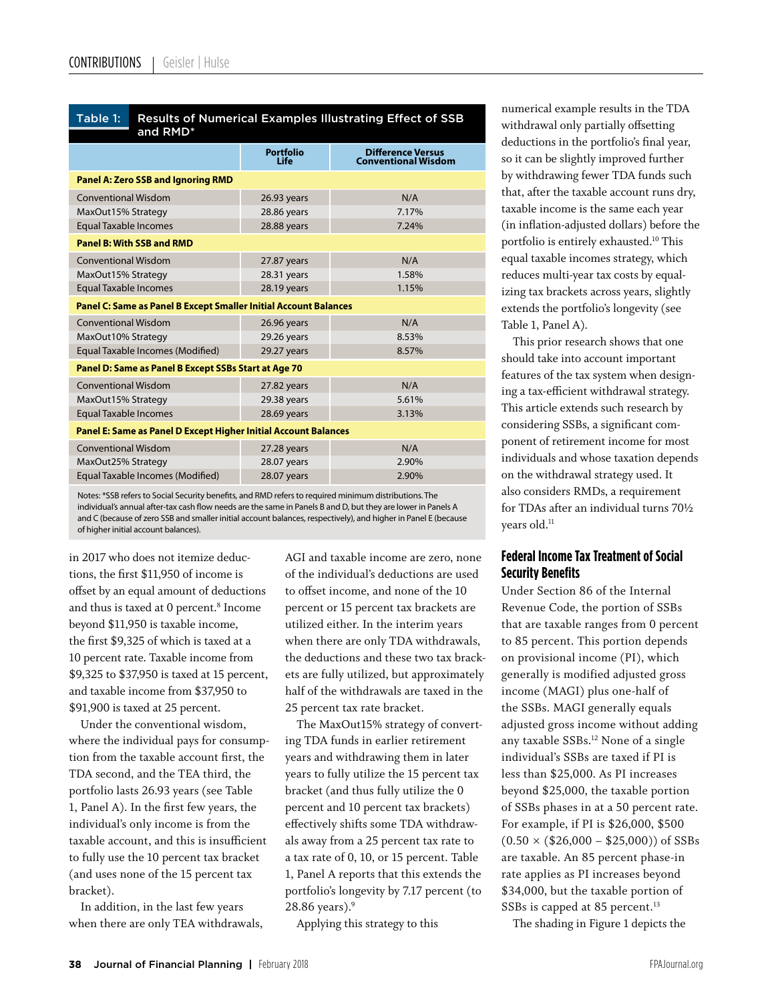Table 1:

| and RMD*                                                                |                          |                                                        |
|-------------------------------------------------------------------------|--------------------------|--------------------------------------------------------|
|                                                                         | <b>Portfolio</b><br>Life | <b>Difference Versus</b><br><b>Conventional Wisdom</b> |
| <b>Panel A: Zero SSB and Ignoring RMD</b>                               |                          |                                                        |
| <b>Conventional Wisdom</b>                                              | 26.93 years              | N/A                                                    |
| MaxOut15% Strategy                                                      | 28.86 years              | 7.17%                                                  |
| <b>Equal Taxable Incomes</b>                                            | 28.88 years              | 7.24%                                                  |
| <b>Panel B: With SSB and RMD</b>                                        |                          |                                                        |
| <b>Conventional Wisdom</b>                                              | 27.87 years              | N/A                                                    |
| MaxOut15% Strategy                                                      | 28.31 years              | 1.58%                                                  |
| <b>Equal Taxable Incomes</b>                                            | 28.19 years              | 1.15%                                                  |
| <b>Panel C: Same as Panel B Except Smaller Initial Account Balances</b> |                          |                                                        |
| <b>Conventional Wisdom</b>                                              | 26.96 years              | N/A                                                    |
| MaxOut10% Strategy                                                      | 29.26 years              | 8.53%                                                  |
| Equal Taxable Incomes (Modified)                                        | 29.27 years              | 8.57%                                                  |
| Panel D: Same as Panel B Except SSBs Start at Age 70                    |                          |                                                        |
| <b>Conventional Wisdom</b>                                              | 27.82 years              | N/A                                                    |
| MaxOut15% Strategy                                                      | 29.38 years              | 5.61%                                                  |
| <b>Equal Taxable Incomes</b>                                            | 28.69 years              | 3.13%                                                  |
| Panel E: Same as Panel D Except Higher Initial Account Balances         |                          |                                                        |
| <b>Conventional Wisdom</b>                                              | 27.28 years              | N/A                                                    |
| MaxOut25% Strategy                                                      | 28.07 years              | 2.90%                                                  |
| Equal Taxable Incomes (Modified)                                        | 28.07 years              | 2.90%                                                  |
|                                                                         |                          |                                                        |

Results of Numerical Examples Illustrating Effect of SSB

Notes: \*SSB refers to Social Security benefits, and RMD refers to required minimum distributions. The individual's annual after-tax cash flow needs are the same in Panels B and D, but they are lower in Panels A and C (because of zero SSB and smaller initial account balances, respectively), and higher in Panel E (because of higher initial account balances).

in 2017 who does not itemize deductions, the first \$11,950 of income is offset by an equal amount of deductions and thus is taxed at 0 percent.<sup>8</sup> Income beyond \$11,950 is taxable income, the first \$9,325 of which is taxed at a 10 percent rate. Taxable income from \$9,325 to \$37,950 is taxed at 15 percent, and taxable income from \$37,950 to \$91,900 is taxed at 25 percent.

Under the conventional wisdom, where the individual pays for consumption from the taxable account first, the TDA second, and the TEA third, the portfolio lasts 26.93 years (see Table 1, Panel A). In the first few years, the individual's only income is from the taxable account, and this is insufficient to fully use the 10 percent tax bracket (and uses none of the 15 percent tax bracket).

In addition, in the last few years when there are only TEA withdrawals, AGI and taxable income are zero, none of the individual's deductions are used to offset income, and none of the 10 percent or 15 percent tax brackets are utilized either. In the interim years when there are only TDA withdrawals, the deductions and these two tax brackets are fully utilized, but approximately half of the withdrawals are taxed in the 25 percent tax rate bracket.

The MaxOut15% strategy of converting TDA funds in earlier retirement years and withdrawing them in later years to fully utilize the 15 percent tax bracket (and thus fully utilize the 0 percent and 10 percent tax brackets) effectively shifts some TDA withdrawals away from a 25 percent tax rate to a tax rate of 0, 10, or 15 percent. Table 1, Panel A reports that this extends the portfolio's longevity by 7.17 percent (to 28.86 years). $9$ 

Applying this strategy to this

numerical example results in the TDA withdrawal only partially offsetting deductions in the portfolio's final year, so it can be slightly improved further by withdrawing fewer TDA funds such that, after the taxable account runs dry, taxable income is the same each year (in inflation-adjusted dollars) before the portfolio is entirely exhausted.10 This equal taxable incomes strategy, which reduces multi-year tax costs by equalizing tax brackets across years, slightly extends the portfolio's longevity (see Table 1, Panel A).

This prior research shows that one should take into account important features of the tax system when designing a tax-efficient withdrawal strategy. This article extends such research by considering SSBs, a significant component of retirement income for most individuals and whose taxation depends on the withdrawal strategy used. It also considers RMDs, a requirement for TDAs after an individual turns 70½ years old.<sup>11</sup>

## **Federal Income Tax Treatment of Social Security Benefits**

Under Section 86 of the Internal Revenue Code, the portion of SSBs that are taxable ranges from 0 percent to 85 percent. This portion depends on provisional income (PI), which generally is modified adjusted gross income (MAGI) plus one-half of the SSBs. MAGI generally equals adjusted gross income without adding any taxable SSBs.12 None of a single individual's SSBs are taxed if PI is less than \$25,000. As PI increases beyond \$25,000, the taxable portion of SSBs phases in at a 50 percent rate. For example, if PI is \$26,000, \$500  $(0.50 \times (\$26,000 - \$25,000))$  of SSBs are taxable. An 85 percent phase-in rate applies as PI increases beyond \$34,000, but the taxable portion of SSBs is capped at 85 percent.<sup>13</sup>

The shading in Figure 1 depicts the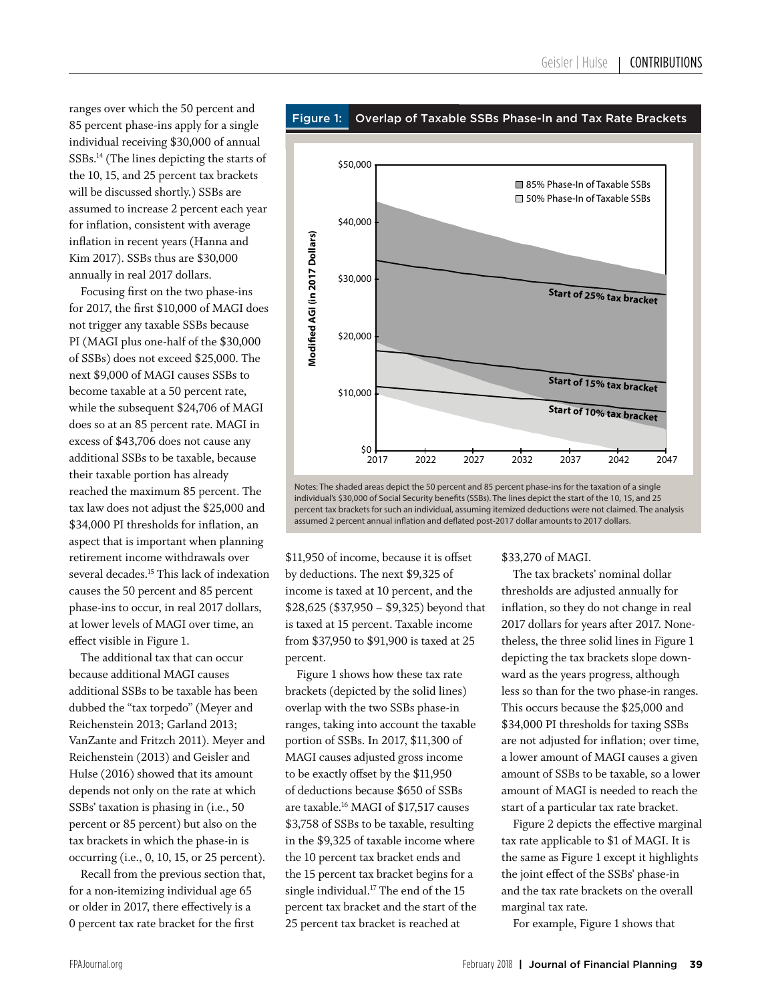ranges over which the 50 percent and 85 percent phase-ins apply for a single individual receiving \$30,000 of annual SSBs.14 (The lines depicting the starts of the 10, 15, and 25 percent tax brackets will be discussed shortly.) SSBs are assumed to increase 2 percent each year for inflation, consistent with average inflation in recent years (Hanna and Kim 2017). SSBs thus are \$30,000 annually in real 2017 dollars.

Focusing first on the two phase-ins for 2017, the first \$10,000 of MAGI does not trigger any taxable SSBs because PI (MAGI plus one-half of the \$30,000 of SSBs) does not exceed \$25,000. The next \$9,000 of MAGI causes SSBs to become taxable at a 50 percent rate, while the subsequent \$24,706 of MAGI does so at an 85 percent rate. MAGI in excess of \$43,706 does not cause any additional SSBs to be taxable, because their taxable portion has already reached the maximum 85 percent. The tax law does not adjust the \$25,000 and \$34,000 PI thresholds for inflation, an aspect that is important when planning retirement income withdrawals over several decades.<sup>15</sup> This lack of indexation causes the 50 percent and 85 percent phase-ins to occur, in real 2017 dollars, at lower levels of MAGI over time, an effect visible in Figure 1.

The additional tax that can occur because additional MAGI causes additional SSBs to be taxable has been dubbed the "tax torpedo" (Meyer and Reichenstein 2013; Garland 2013; VanZante and Fritzch 2011). Meyer and Reichenstein (2013) and Geisler and Hulse (2016) showed that its amount depends not only on the rate at which SSBs' taxation is phasing in (i.e., 50 percent or 85 percent) but also on the tax brackets in which the phase-in is occurring (i.e., 0, 10, 15, or 25 percent).

Recall from the previous section that, for a non-itemizing individual age 65 or older in 2017, there effectively is a 0 percent tax rate bracket for the first



Notes: The shaded areas depict the 50 percent and 85 percent phase-ins for the taxation of a single individual's \$30,000 of Social Security benefits (SSBs). The lines depict the start of the 10, 15, and 25 percent tax brackets for such an individual, assuming itemized deductions were not claimed. The analysis assumed 2 percent annual inflation and deflated post-2017 dollar amounts to 2017 dollars.

\$11,950 of income, because it is offset by deductions. The next \$9,325 of income is taxed at 10 percent, and the \$28,625 (\$37,950 – \$9,325) beyond that is taxed at 15 percent. Taxable income from \$37,950 to \$91,900 is taxed at 25 percent.

l

Figure 1 shows how these tax rate brackets (depicted by the solid lines) overlap with the two SSBs phase-in ranges, taking into account the taxable portion of SSBs. In 2017, \$11,300 of MAGI causes adjusted gross income to be exactly offset by the \$11,950 of deductions because \$650 of SSBs are taxable.16 MAGI of \$17,517 causes \$3,758 of SSBs to be taxable, resulting in the \$9,325 of taxable income where the 10 percent tax bracket ends and the 15 percent tax bracket begins for a single individual.<sup>17</sup> The end of the 15 percent tax bracket and the start of the 25 percent tax bracket is reached at

#### \$33,270 of MAGI.

The tax brackets' nominal dollar thresholds are adjusted annually for inflation, so they do not change in real 2017 dollars for years after 2017. Nonetheless, the three solid lines in Figure 1 depicting the tax brackets slope downward as the years progress, although less so than for the two phase-in ranges. This occurs because the \$25,000 and \$34,000 PI thresholds for taxing SSBs are not adjusted for inflation; over time, a lower amount of MAGI causes a given amount of SSBs to be taxable, so a lower amount of MAGI is needed to reach the start of a particular tax rate bracket.

Figure 2 depicts the effective marginal tax rate applicable to \$1 of MAGI. It is the same as Figure 1 except it highlights the joint effect of the SSBs' phase-in and the tax rate brackets on the overall marginal tax rate.

For example, Figure 1 shows that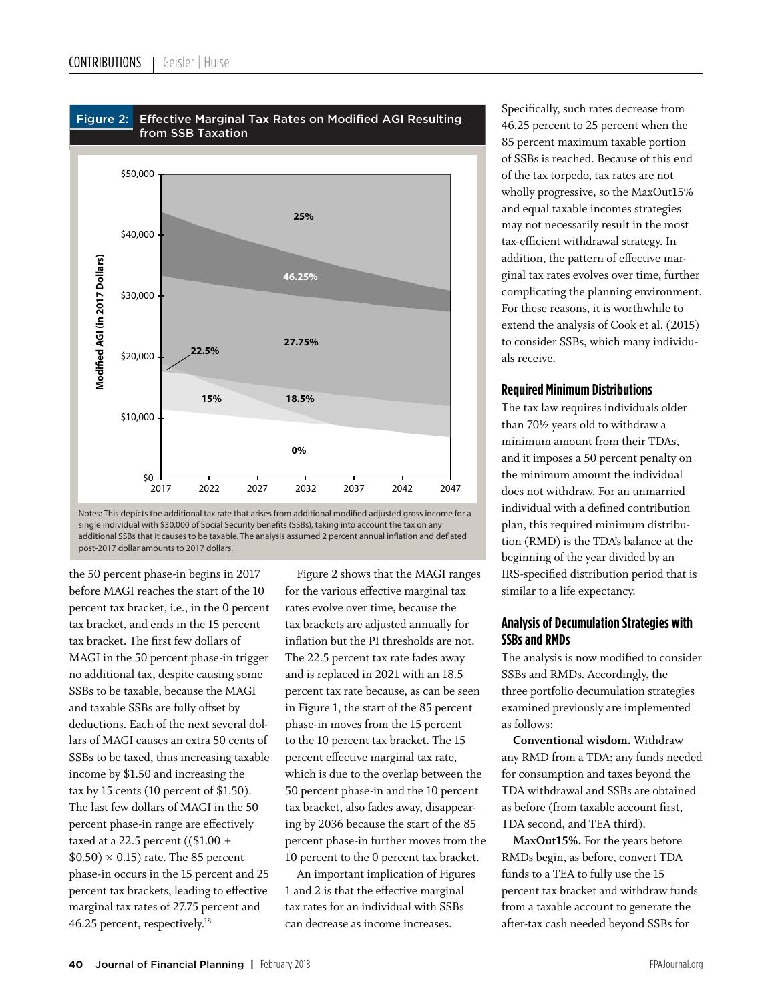



the 50 percent phase-in begins in 2017 before MAGI reaches the start of the 10 percent tax bracket, i.e., in the 0 percent tax bracket, and ends in the 15 percent tax bracket. The first few dollars of MAGI in the 50 percent phase-in trigger no additional tax, despite causing some SSBs to be taxable, because the MAGI and taxable SSBs are fully offset by deductions. Each of the next several dollars of MAGI causes an extra 50 cents of SSBs to be taxed, thus increasing taxable income by \$1.50 and increasing the tax by 15 cents (10 percent of \$1.50). The last few dollars of MAGI in the 50 percent phase-in range are effectively taxed at a 22.5 percent ((\$1.00 +  $$0.50) \times 0.15$  rate. The 85 percent phase-in occurs in the 15 percent and 25 percent tax brackets, leading to effective marginal tax rates of 27.75 percent and 46.25 percent, respectively.<sup>18</sup>

Figure 2 shows that the MAGI ranges for the various effective marginal tax rates evolve over time, because the tax brackets are adjusted annually for inflation but the PI thresholds are not. The 22.5 percent tax rate fades away and is replaced in 2021 with an 18.5 percent tax rate because, as can be seen in Figure 1, the start of the 85 percent phase-in moves from the 15 percent to the 10 percent tax bracket. The 15 percent effective marginal tax rate, which is due to the overlap between the 50 percent phase-in and the 10 percent tax bracket, also fades away, disappearing by 2036 because the start of the 85 percent phase-in further moves from the 10 percent to the 0 percent tax bracket.

An important implication of Figures 1 and 2 is that the effective marginal tax rates for an individual with SSBs can decrease as income increases.

Specifically, such rates decrease from 46.25 percent to 25 percent when the 85 percent maximum taxable portion of SSBs is reached. Because of this end of the tax torpedo, tax rates are not wholly progressive, so the MaxOut15% and equal taxable incomes strategies may not necessarily result in the most tax-efficient withdrawal strategy. In addition, the pattern of effective marginal tax rates evolves over time, further complicating the planning environment. For these reasons, it is worthwhile to extend the analysis of Cook et al. (2015) to consider SSBs, which many individuals receive.

### **Required Minimum Distributions**

The tax law requires individuals older than 70½ years old to withdraw a minimum amount from their TDAs, and it imposes a 50 percent penalty on the minimum amount the individual does not withdraw. For an unmarried individual with a defined contribution plan, this required minimum distribution (RMD) is the TDA's balance at the beginning of the year divided by an IRS-specified distribution period that is similar to a life expectancy.

## **Analysis of Decumulation Strategies with SSBs and RMDs**

The analysis is now modified to consider SSBs and RMDs. Accordingly, the three portfolio decumulation strategies examined previously are implemented as follows:

**Conventional wisdom.** Withdraw any RMD from a TDA; any funds needed for consumption and taxes beyond the TDA withdrawal and SSBs are obtained as before (from taxable account first, TDA second, and TEA third).

**MaxOut15%.** For the years before RMDs begin, as before, convert TDA funds to a TEA to fully use the 15 percent tax bracket and withdraw funds from a taxable account to generate the after-tax cash needed beyond SSBs for

Notes: This depicts the additional tax rate that arises from additional modified adjusted gross income for a single individual with \$30,000 of Social Security benefits (SSBs), taking into account the tax on any additional SSBs that it causes to be taxable. The analysis assumed 2 percent annual inflation and deflated post-2017 dollar amounts to 2017 dollars.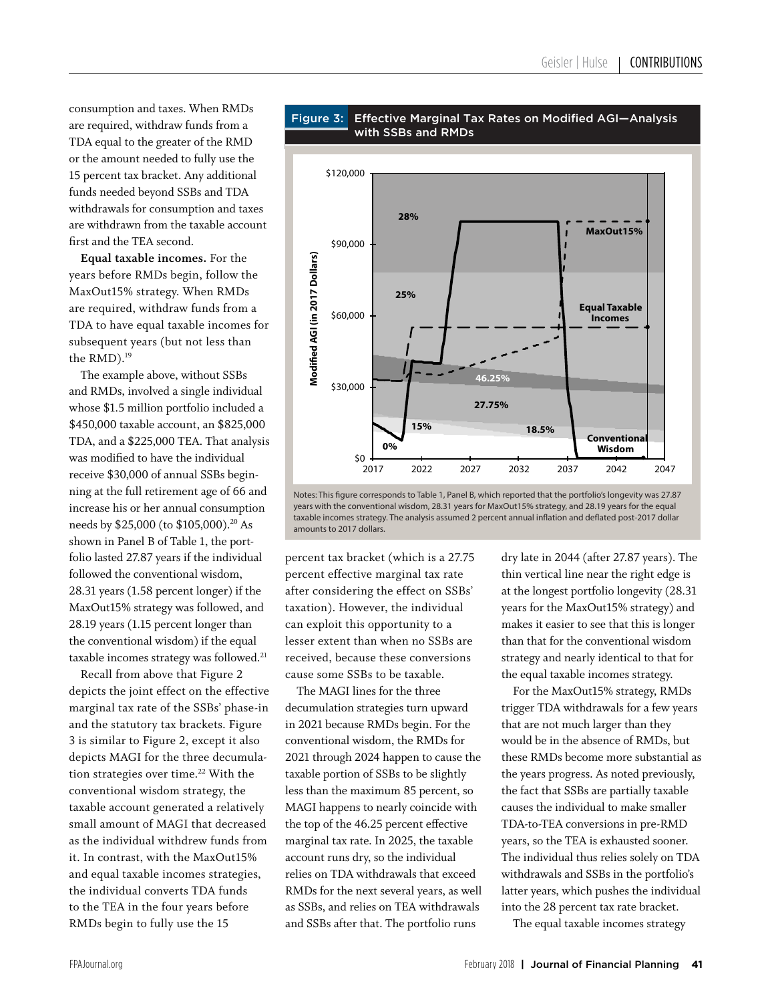consumption and taxes. When RMDs are required, withdraw funds from a TDA equal to the greater of the RMD or the amount needed to fully use the 15 percent tax bracket. Any additional funds needed beyond SSBs and TDA withdrawals for consumption and taxes are withdrawn from the taxable account first and the TEA second.

**Equal taxable incomes.** For the years before RMDs begin, follow the MaxOut15% strategy. When RMDs are required, withdraw funds from a TDA to have equal taxable incomes for subsequent years (but not less than the RMD).<sup>19</sup>

The example above, without SSBs and RMDs, involved a single individual whose \$1.5 million portfolio included a \$450,000 taxable account, an \$825,000 TDA, and a \$225,000 TEA. That analysis was modified to have the individual receive \$30,000 of annual SSBs beginning at the full retirement age of 66 and increase his or her annual consumption needs by \$25,000 (to \$105,000).<sup>20</sup> As shown in Panel B of Table 1, the portfolio lasted 27.87 years if the individual followed the conventional wisdom, 28.31 years (1.58 percent longer) if the MaxOut15% strategy was followed, and 28.19 years (1.15 percent longer than the conventional wisdom) if the equal taxable incomes strategy was followed.<sup>21</sup>

Recall from above that Figure 2 depicts the joint effect on the effective marginal tax rate of the SSBs' phase-in and the statutory tax brackets. Figure 3 is similar to Figure 2, except it also depicts MAGI for the three decumulation strategies over time.<sup>22</sup> With the conventional wisdom strategy, the taxable account generated a relatively small amount of MAGI that decreased as the individual withdrew funds from it. In contrast, with the MaxOut15% and equal taxable incomes strategies, the individual converts TDA funds to the TEA in the four years before RMDs begin to fully use the 15



Notes: This figure corresponds to Table 1, Panel B, which reported that the portfolio's longevity was 27.87 years with the conventional wisdom, 28.31 years for MaxOut15% strategy, and 28.19 years for the equal taxable incomes strategy. The analysis assumed 2 percent annual inflation and deflated post-2017 dollar amounts to 2017 dollars.

percent tax bracket (which is a 27.75 percent effective marginal tax rate after considering the effect on SSBs' taxation). However, the individual can exploit this opportunity to a lesser extent than when no SSBs are received, because these conversions cause some SSBs to be taxable.

The MAGI lines for the three decumulation strategies turn upward in 2021 because RMDs begin. For the conventional wisdom, the RMDs for 2021 through 2024 happen to cause the taxable portion of SSBs to be slightly less than the maximum 85 percent, so MAGI happens to nearly coincide with the top of the 46.25 percent effective marginal tax rate. In 2025, the taxable account runs dry, so the individual relies on TDA withdrawals that exceed RMDs for the next several years, as well as SSBs, and relies on TEA withdrawals and SSBs after that. The portfolio runs

dry late in 2044 (after 27.87 years). The thin vertical line near the right edge is at the longest portfolio longevity (28.31 years for the MaxOut15% strategy) and makes it easier to see that this is longer than that for the conventional wisdom strategy and nearly identical to that for the equal taxable incomes strategy.

For the MaxOut15% strategy, RMDs trigger TDA withdrawals for a few years that are not much larger than they would be in the absence of RMDs, but these RMDs become more substantial as the years progress. As noted previously, the fact that SSBs are partially taxable causes the individual to make smaller TDA-to-TEA conversions in pre-RMD years, so the TEA is exhausted sooner. The individual thus relies solely on TDA withdrawals and SSBs in the portfolio's latter years, which pushes the individual into the 28 percent tax rate bracket.

The equal taxable incomes strategy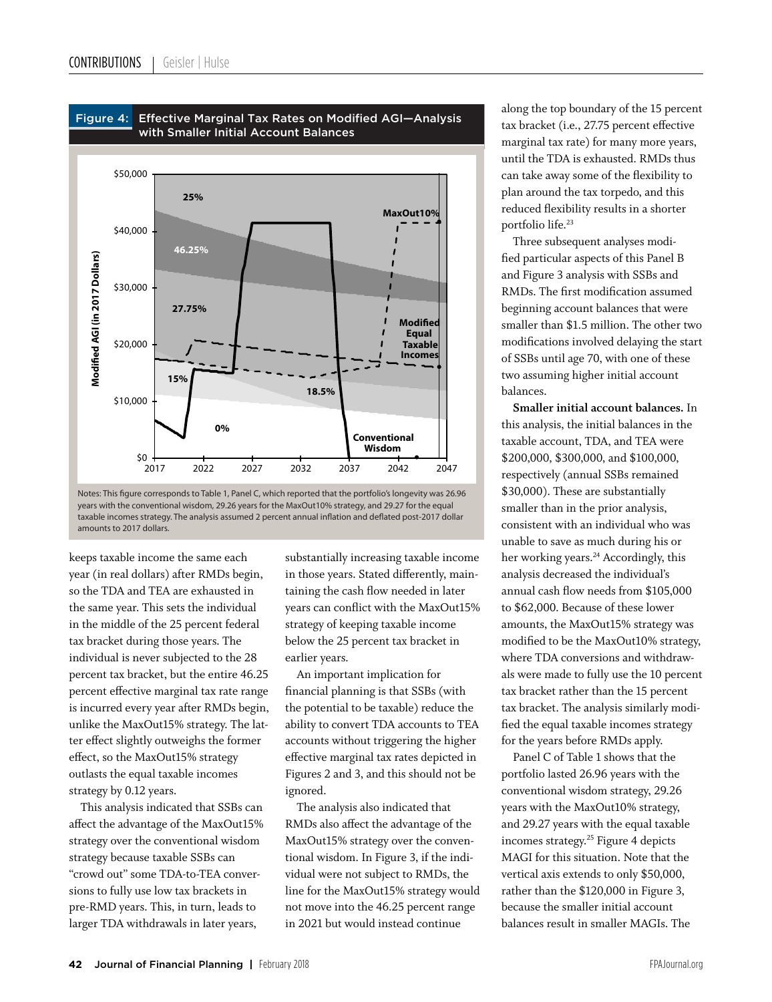



keeps taxable income the same each year (in real dollars) after RMDs begin, so the TDA and TEA are exhausted in the same year. This sets the individual in the middle of the 25 percent federal tax bracket during those years. The individual is never subjected to the 28 percent tax bracket, but the entire 46.25 percent effective marginal tax rate range is incurred every year after RMDs begin, unlike the MaxOut15% strategy. The latter effect slightly outweighs the former effect, so the MaxOut15% strategy outlasts the equal taxable incomes strategy by 0.12 years.

This analysis indicated that SSBs can affect the advantage of the MaxOut15% strategy over the conventional wisdom strategy because taxable SSBs can "crowd out" some TDA-to-TEA conversions to fully use low tax brackets in pre-RMD years. This, in turn, leads to larger TDA withdrawals in later years,

substantially increasing taxable income in those years. Stated differently, maintaining the cash flow needed in later years can conflict with the MaxOut15% strategy of keeping taxable income below the 25 percent tax bracket in earlier years.

An important implication for financial planning is that SSBs (with the potential to be taxable) reduce the ability to convert TDA accounts to TEA accounts without triggering the higher effective marginal tax rates depicted in Figures 2 and 3, and this should not be ignored.

The analysis also indicated that RMDs also affect the advantage of the MaxOut15% strategy over the conventional wisdom. In Figure 3, if the individual were not subject to RMDs, the line for the MaxOut15% strategy would not move into the 46.25 percent range in 2021 but would instead continue

along the top boundary of the 15 percent tax bracket (i.e., 27.75 percent effective marginal tax rate) for many more years, until the TDA is exhausted. RMDs thus can take away some of the flexibility to plan around the tax torpedo, and this reduced flexibility results in a shorter portfolio life.<sup>23</sup>

Three subsequent analyses modified particular aspects of this Panel B and Figure 3 analysis with SSBs and RMDs. The first modification assumed beginning account balances that were smaller than \$1.5 million. The other two modifications involved delaying the start of SSBs until age 70, with one of these two assuming higher initial account balances.

**Smaller initial account balances.** In this analysis, the initial balances in the taxable account, TDA, and TEA were \$200,000, \$300,000, and \$100,000, respectively (annual SSBs remained \$30,000). These are substantially smaller than in the prior analysis, consistent with an individual who was unable to save as much during his or her working years.<sup>24</sup> Accordingly, this analysis decreased the individual's annual cash flow needs from \$105,000 to \$62,000. Because of these lower amounts, the MaxOut15% strategy was modified to be the MaxOut10% strategy, where TDA conversions and withdrawals were made to fully use the 10 percent tax bracket rather than the 15 percent tax bracket. The analysis similarly modified the equal taxable incomes strategy for the years before RMDs apply.

Panel C of Table 1 shows that the portfolio lasted 26.96 years with the conventional wisdom strategy, 29.26 years with the MaxOut10% strategy, and 29.27 years with the equal taxable incomes strategy.25 Figure 4 depicts MAGI for this situation. Note that the vertical axis extends to only \$50,000, rather than the \$120,000 in Figure 3, because the smaller initial account balances result in smaller MAGIs. The

years with the conventional wisdom, 29.26 years for the MaxOut10% strategy, and 29.27 for the equal taxable incomes strategy. The analysis assumed 2 percent annual inflation and deflated post-2017 dollar amounts to 2017 dollars.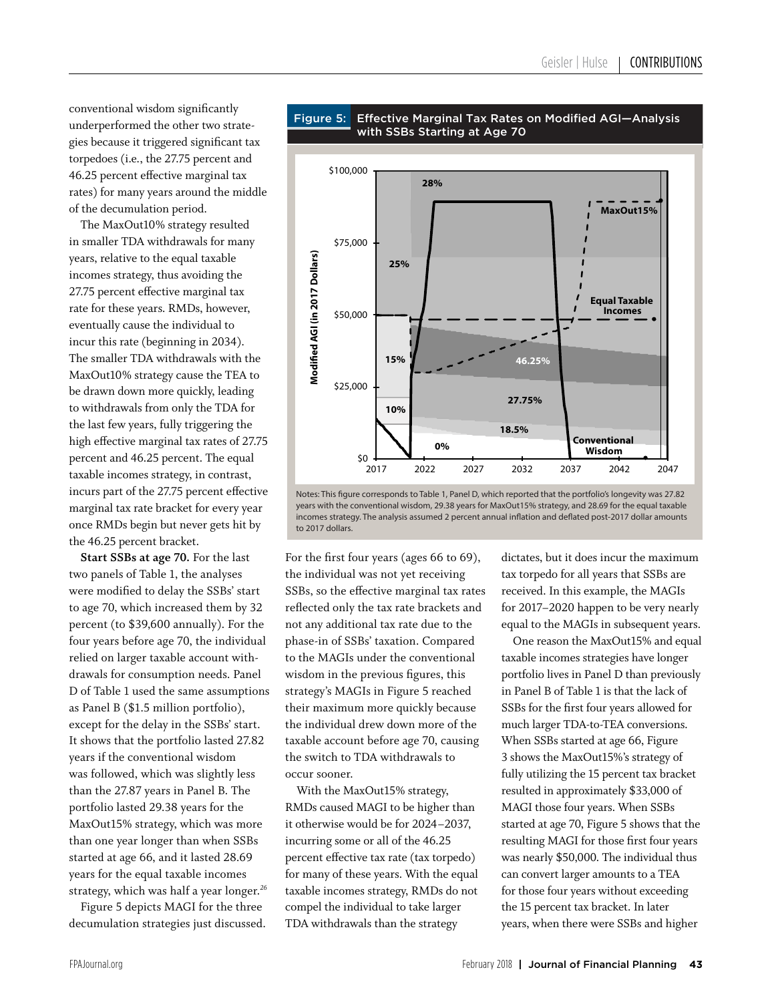conventional wisdom significantly underperformed the other two strategies because it triggered significant tax torpedoes (i.e., the 27.75 percent and 46.25 percent effective marginal tax rates) for many years around the middle of the decumulation period.

The MaxOut10% strategy resulted in smaller TDA withdrawals for many years, relative to the equal taxable incomes strategy, thus avoiding the 27.75 percent effective marginal tax rate for these years. RMDs, however, eventually cause the individual to incur this rate (beginning in 2034). The smaller TDA withdrawals with the MaxOut10% strategy cause the TEA to be drawn down more quickly, leading to withdrawals from only the TDA for the last few years, fully triggering the high effective marginal tax rates of 27.75 percent and 46.25 percent. The equal taxable incomes strategy, in contrast, incurs part of the 27.75 percent effective marginal tax rate bracket for every year once RMDs begin but never gets hit by the 46.25 percent bracket.

**Start SSBs at age 70.** For the last two panels of Table 1, the analyses were modified to delay the SSBs' start to age 70, which increased them by 32 percent (to \$39,600 annually). For the four years before age 70, the individual relied on larger taxable account withdrawals for consumption needs. Panel D of Table 1 used the same assumptions as Panel B (\$1.5 million portfolio), except for the delay in the SSBs' start. It shows that the portfolio lasted 27.82 years if the conventional wisdom was followed, which was slightly less than the 27.87 years in Panel B. The portfolio lasted 29.38 years for the MaxOut15% strategy, which was more than one year longer than when SSBs started at age 66, and it lasted 28.69 years for the equal taxable incomes strategy, which was half a year longer.*<sup>26</sup>*

Figure 5 depicts MAGI for the three decumulation strategies just discussed.



#### Figure 5: Effective Marginal Tax Rates on Modified AGI-Analysis with SSBs Starting at Age 70

Notes: This figure corresponds to Table 1, Panel D, which reported that the portfolio's longevity was 27.82 years with the conventional wisdom, 29.38 years for MaxOut15% strategy, and 28.69 for the equal taxable incomes strategy. The analysis assumed 2 percent annual inflation and deflated post-2017 dollar amounts to 2017 dollars.

For the first four years (ages 66 to 69), the individual was not yet receiving SSBs, so the effective marginal tax rates reflected only the tax rate brackets and not any additional tax rate due to the phase-in of SSBs' taxation. Compared to the MAGIs under the conventional wisdom in the previous figures, this strategy's MAGIs in Figure 5 reached their maximum more quickly because the individual drew down more of the taxable account before age 70, causing the switch to TDA withdrawals to occur sooner.

With the MaxOut15% strategy, RMDs caused MAGI to be higher than it otherwise would be for 2024–2037, incurring some or all of the 46.25 percent effective tax rate (tax torpedo) for many of these years. With the equal taxable incomes strategy, RMDs do not compel the individual to take larger TDA withdrawals than the strategy

dictates, but it does incur the maximum tax torpedo for all years that SSBs are received. In this example, the MAGIs for 2017–2020 happen to be very nearly equal to the MAGIs in subsequent years.

One reason the MaxOut15% and equal taxable incomes strategies have longer portfolio lives in Panel D than previously in Panel B of Table 1 is that the lack of SSBs for the first four years allowed for much larger TDA-to-TEA conversions. When SSBs started at age 66, Figure 3 shows the MaxOut15%'s strategy of fully utilizing the 15 percent tax bracket resulted in approximately \$33,000 of MAGI those four years. When SSBs started at age 70, Figure 5 shows that the resulting MAGI for those first four years was nearly \$50,000. The individual thus can convert larger amounts to a TEA for those four years without exceeding the 15 percent tax bracket. In later years, when there were SSBs and higher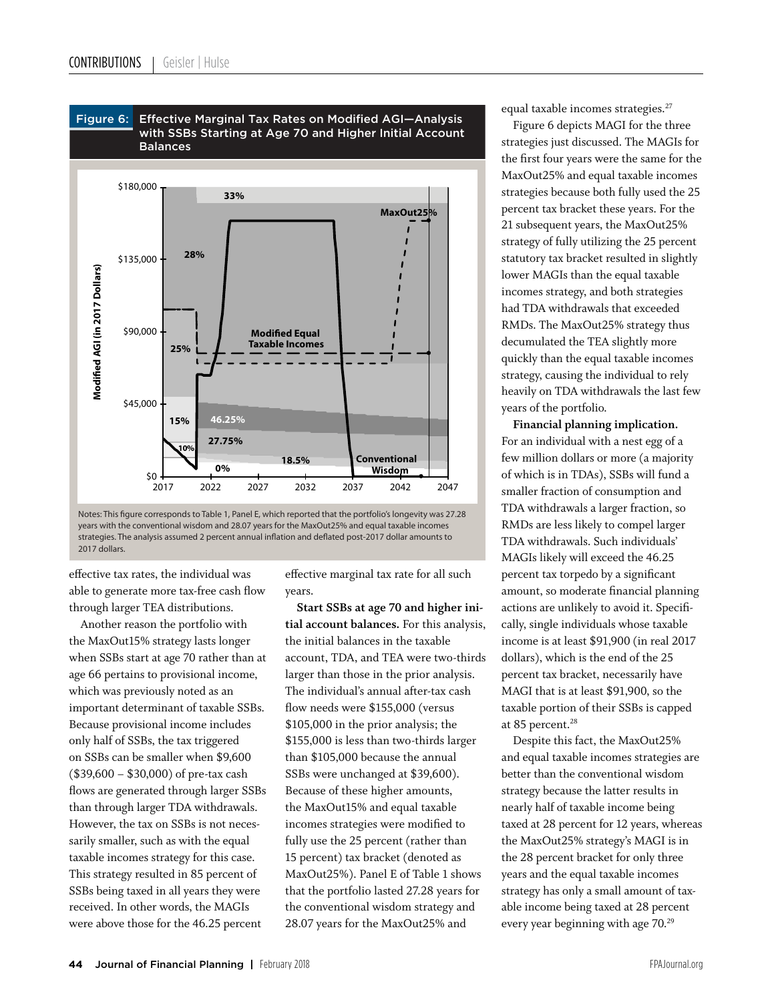

Figure 6: Effective Marginal Tax Rates on Modified AGI-Analysis

effective tax rates, the individual was able to generate more tax-free cash flow through larger TEA distributions.

Another reason the portfolio with the MaxOut15% strategy lasts longer when SSBs start at age 70 rather than at age 66 pertains to provisional income, which was previously noted as an important determinant of taxable SSBs. Because provisional income includes only half of SSBs, the tax triggered on SSBs can be smaller when \$9,600 (\$39,600 – \$30,000) of pre-tax cash flows are generated through larger SSBs than through larger TDA withdrawals. However, the tax on SSBs is not necessarily smaller, such as with the equal taxable incomes strategy for this case. This strategy resulted in 85 percent of SSBs being taxed in all years they were received. In other words, the MAGIs were above those for the 46.25 percent

effective marginal tax rate for all such years.

**Start SSBs at age 70 and higher initial account balances.** For this analysis, the initial balances in the taxable account, TDA, and TEA were two-thirds larger than those in the prior analysis. The individual's annual after-tax cash flow needs were \$155,000 (versus \$105,000 in the prior analysis; the \$155,000 is less than two-thirds larger than \$105,000 because the annual SSBs were unchanged at \$39,600). Because of these higher amounts, the MaxOut15% and equal taxable incomes strategies were modified to fully use the 25 percent (rather than 15 percent) tax bracket (denoted as MaxOut25%). Panel E of Table 1 shows that the portfolio lasted 27.28 years for the conventional wisdom strategy and 28.07 years for the MaxOut25% and

equal taxable incomes strategies.<sup>27</sup>

Figure 6 depicts MAGI for the three strategies just discussed. The MAGIs for the first four years were the same for the MaxOut25% and equal taxable incomes strategies because both fully used the 25 percent tax bracket these years. For the 21 subsequent years, the MaxOut25% strategy of fully utilizing the 25 percent statutory tax bracket resulted in slightly lower MAGIs than the equal taxable incomes strategy, and both strategies had TDA withdrawals that exceeded RMDs. The MaxOut25% strategy thus decumulated the TEA slightly more quickly than the equal taxable incomes strategy, causing the individual to rely heavily on TDA withdrawals the last few years of the portfolio.

**Financial planning implication.** For an individual with a nest egg of a few million dollars or more (a majority of which is in TDAs), SSBs will fund a smaller fraction of consumption and TDA withdrawals a larger fraction, so RMDs are less likely to compel larger TDA withdrawals. Such individuals' MAGIs likely will exceed the 46.25 percent tax torpedo by a significant amount, so moderate financial planning actions are unlikely to avoid it. Specifically, single individuals whose taxable income is at least \$91,900 (in real 2017 dollars), which is the end of the 25 percent tax bracket, necessarily have MAGI that is at least \$91,900, so the taxable portion of their SSBs is capped at 85 percent.<sup>28</sup>

Despite this fact, the MaxOut25% and equal taxable incomes strategies are better than the conventional wisdom strategy because the latter results in nearly half of taxable income being taxed at 28 percent for 12 years, whereas the MaxOut25% strategy's MAGI is in the 28 percent bracket for only three years and the equal taxable incomes strategy has only a small amount of taxable income being taxed at 28 percent every year beginning with age 70.<sup>29</sup>

Notes: This figure corresponds to Table 1, Panel E, which reported that the portfolio's longevity was 27.28 years with the conventional wisdom and 28.07 years for the MaxOut25% and equal taxable incomes strategies. The analysis assumed 2 percent annual inflation and deflated post-2017 dollar amounts to 2017 dollars.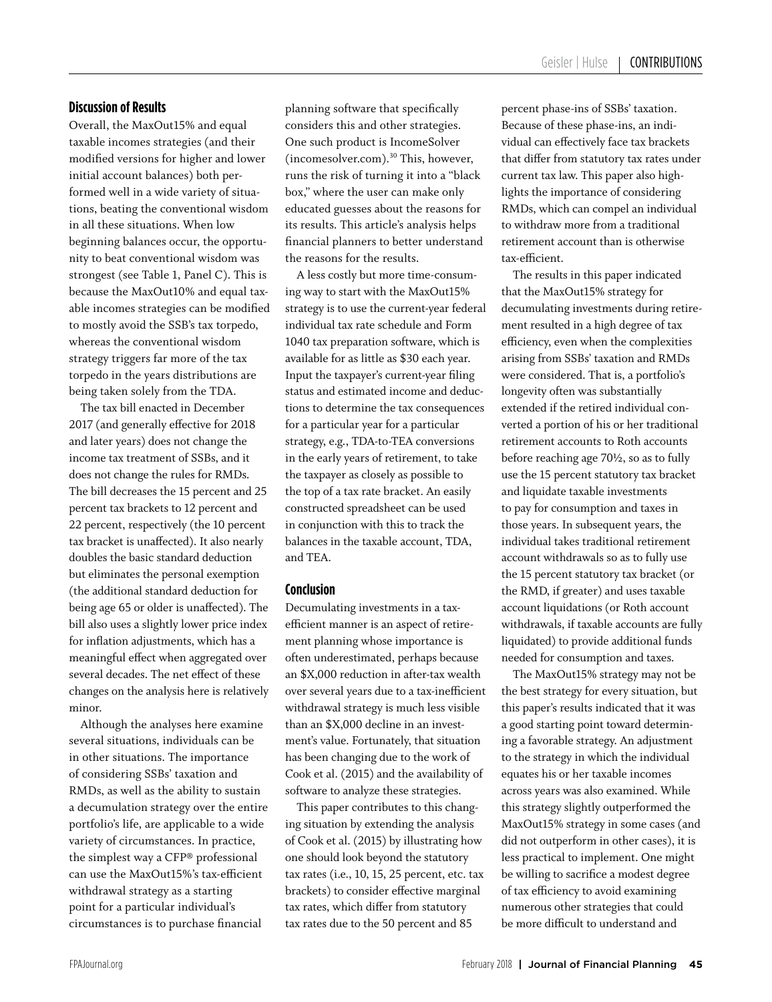## **Discussion of Results**

Overall, the MaxOut15% and equal taxable incomes strategies (and their modified versions for higher and lower initial account balances) both performed well in a wide variety of situations, beating the conventional wisdom in all these situations. When low beginning balances occur, the opportunity to beat conventional wisdom was strongest (see Table 1, Panel C). This is because the MaxOut10% and equal taxable incomes strategies can be modified to mostly avoid the SSB's tax torpedo, whereas the conventional wisdom strategy triggers far more of the tax torpedo in the years distributions are being taken solely from the TDA.

The tax bill enacted in December 2017 (and generally effective for 2018 and later years) does not change the income tax treatment of SSBs, and it does not change the rules for RMDs. The bill decreases the 15 percent and 25 percent tax brackets to 12 percent and 22 percent, respectively (the 10 percent tax bracket is unaffected). It also nearly doubles the basic standard deduction but eliminates the personal exemption (the additional standard deduction for being age 65 or older is unaffected). The bill also uses a slightly lower price index for inflation adjustments, which has a meaningful effect when aggregated over several decades. The net effect of these changes on the analysis here is relatively minor.

Although the analyses here examine several situations, individuals can be in other situations. The importance of considering SSBs' taxation and RMDs, as well as the ability to sustain a decumulation strategy over the entire portfolio's life, are applicable to a wide variety of circumstances. In practice, the simplest way a CFP® professional can use the MaxOut15%'s tax-efficient withdrawal strategy as a starting point for a particular individual's circumstances is to purchase financial

planning software that specifically considers this and other strategies. One such product is IncomeSolver (incomesolver.com).30 This, however, runs the risk of turning it into a "black box," where the user can make only educated guesses about the reasons for its results. This article's analysis helps financial planners to better understand the reasons for the results.

A less costly but more time-consuming way to start with the MaxOut15% strategy is to use the current-year federal individual tax rate schedule and Form 1040 tax preparation software, which is available for as little as \$30 each year. Input the taxpayer's current-year filing status and estimated income and deductions to determine the tax consequences for a particular year for a particular strategy, e.g., TDA-to-TEA conversions in the early years of retirement, to take the taxpayer as closely as possible to the top of a tax rate bracket. An easily constructed spreadsheet can be used in conjunction with this to track the balances in the taxable account, TDA, and TEA.

## **Conclusion**

Decumulating investments in a taxefficient manner is an aspect of retirement planning whose importance is often underestimated, perhaps because an \$X,000 reduction in after-tax wealth over several years due to a tax-inefficient withdrawal strategy is much less visible than an \$X,000 decline in an investment's value. Fortunately, that situation has been changing due to the work of Cook et al. (2015) and the availability of software to analyze these strategies.

This paper contributes to this changing situation by extending the analysis of Cook et al. (2015) by illustrating how one should look beyond the statutory tax rates (i.e., 10, 15, 25 percent, etc. tax brackets) to consider effective marginal tax rates, which differ from statutory tax rates due to the 50 percent and 85

percent phase-ins of SSBs' taxation. Because of these phase-ins, an individual can effectively face tax brackets that differ from statutory tax rates under current tax law. This paper also highlights the importance of considering RMDs, which can compel an individual to withdraw more from a traditional retirement account than is otherwise tax-efficient.

The results in this paper indicated that the MaxOut15% strategy for decumulating investments during retirement resulted in a high degree of tax efficiency, even when the complexities arising from SSBs' taxation and RMDs were considered. That is, a portfolio's longevity often was substantially extended if the retired individual converted a portion of his or her traditional retirement accounts to Roth accounts before reaching age 70½, so as to fully use the 15 percent statutory tax bracket and liquidate taxable investments to pay for consumption and taxes in those years. In subsequent years, the individual takes traditional retirement account withdrawals so as to fully use the 15 percent statutory tax bracket (or the RMD, if greater) and uses taxable account liquidations (or Roth account withdrawals, if taxable accounts are fully liquidated) to provide additional funds needed for consumption and taxes.

The MaxOut15% strategy may not be the best strategy for every situation, but this paper's results indicated that it was a good starting point toward determining a favorable strategy. An adjustment to the strategy in which the individual equates his or her taxable incomes across years was also examined. While this strategy slightly outperformed the MaxOut15% strategy in some cases (and did not outperform in other cases), it is less practical to implement. One might be willing to sacrifice a modest degree of tax efficiency to avoid examining numerous other strategies that could be more difficult to understand and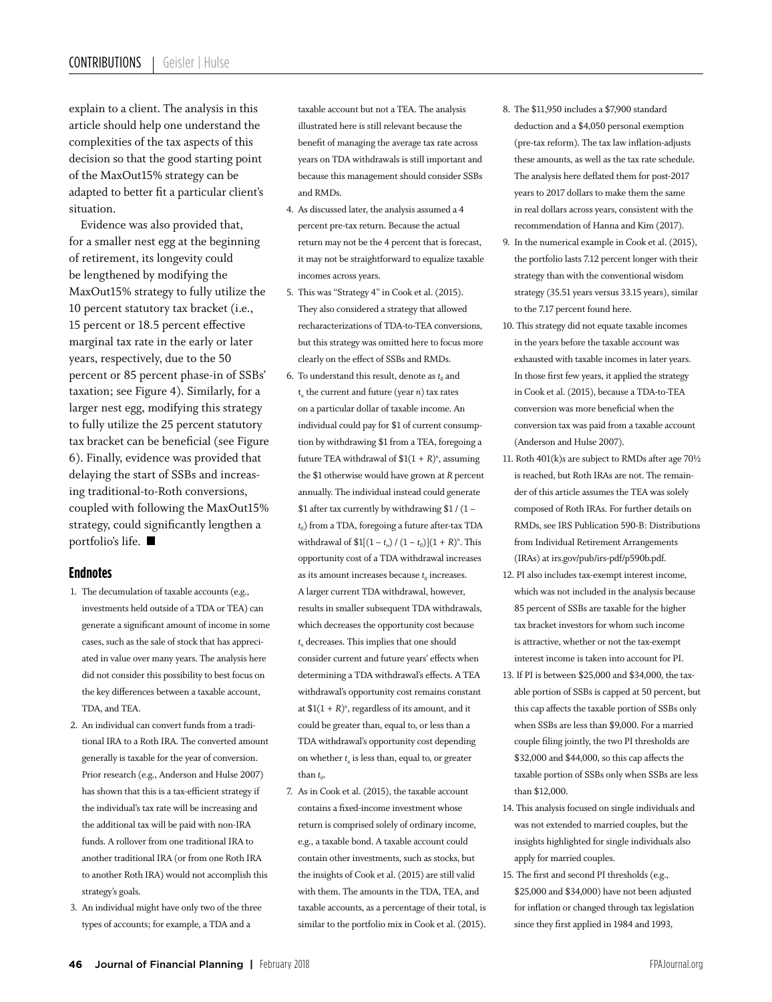explain to a client. The analysis in this article should help one understand the complexities of the tax aspects of this decision so that the good starting point of the MaxOut15% strategy can be adapted to better fit a particular client's situation.

Evidence was also provided that, for a smaller nest egg at the beginning of retirement, its longevity could be lengthened by modifying the MaxOut15% strategy to fully utilize the 10 percent statutory tax bracket (i.e., 15 percent or 18.5 percent effective marginal tax rate in the early or later years, respectively, due to the 50 percent or 85 percent phase-in of SSBs' taxation; see Figure 4). Similarly, for a larger nest egg, modifying this strategy to fully utilize the 25 percent statutory tax bracket can be beneficial (see Figure 6). Finally, evidence was provided that delaying the start of SSBs and increasing traditional-to-Roth conversions, coupled with following the MaxOut15% strategy, could significantly lengthen a portfolio's life.

## **Endnotes**

- 1. The decumulation of taxable accounts (e.g., investments held outside of a TDA or TEA) can generate a significant amount of income in some cases, such as the sale of stock that has appreciated in value over many years. The analysis here did not consider this possibility to best focus on the key differences between a taxable account, TDA, and TEA.
- 2. An individual can convert funds from a traditional IRA to a Roth IRA. The converted amount generally is taxable for the year of conversion. Prior research (e.g., Anderson and Hulse 2007) has shown that this is a tax-efficient strategy if the individual's tax rate will be increasing and the additional tax will be paid with non-IRA funds. A rollover from one traditional IRA to another traditional IRA (or from one Roth IRA to another Roth IRA) would not accomplish this strategy's goals.
- 3. An individual might have only two of the three types of accounts; for example, a TDA and a

taxable account but not a TEA. The analysis illustrated here is still relevant because the benefit of managing the average tax rate across years on TDA withdrawals is still important and because this management should consider SSBs and RMDs.

- 4. As discussed later, the analysis assumed a 4 percent pre-tax return. Because the actual return may not be the 4 percent that is forecast, it may not be straightforward to equalize taxable incomes across years.
- 5. This was "Strategy 4" in Cook et al. (2015). They also considered a strategy that allowed recharacterizations of TDA-to-TEA conversions, but this strategy was omitted here to focus more clearly on the effect of SSBs and RMDs.
- 6. To understand this result, denote as  $t_0$  and t*n* the current and future (year *n*) tax rates on a particular dollar of taxable income. An individual could pay for \$1 of current consumption by withdrawing \$1 from a TEA, foregoing a future TEA withdrawal of  $$1(1 + R)<sup>n</sup>$ , assuming the \$1 otherwise would have grown at *R* percent annually. The individual instead could generate \$1 after tax currently by withdrawing  $$1 / (1$  $t_0$ ) from a TDA, foregoing a future after-tax TDA withdrawal of  $$1[(1 - t_n) / (1 - t_0)](1 + R)^n$ . This opportunity cost of a TDA withdrawal increases as its amount increases because  $t_0$  increases. A larger current TDA withdrawal, however, results in smaller subsequent TDA withdrawals, which decreases the opportunity cost because  $t_n$  decreases. This implies that one should consider current and future years' effects when determining a TDA withdrawal's effects. A TEA withdrawal's opportunity cost remains constant at  $$1(1 + R)<sup>n</sup>$ , regardless of its amount, and it could be greater than, equal to, or less than a TDA withdrawal's opportunity cost depending on whether  $t_n$  is less than, equal to, or greater than  $t_0$ .
- 7. As in Cook et al. (2015), the taxable account contains a fixed-income investment whose return is comprised solely of ordinary income, e.g., a taxable bond. A taxable account could contain other investments, such as stocks, but the insights of Cook et al. (2015) are still valid with them. The amounts in the TDA, TEA, and taxable accounts, as a percentage of their total, is similar to the portfolio mix in Cook et al. (2015).
- 8. The \$11,950 includes a \$7,900 standard deduction and a \$4,050 personal exemption (pre-tax reform). The tax law inflation-adjusts these amounts, as well as the tax rate schedule. The analysis here deflated them for post-2017 years to 2017 dollars to make them the same in real dollars across years, consistent with the recommendation of Hanna and Kim (2017).
- 9. In the numerical example in Cook et al. (2015), the portfolio lasts 7.12 percent longer with their strategy than with the conventional wisdom strategy (35.51 years versus 33.15 years), similar to the 7.17 percent found here.
- 10. This strategy did not equate taxable incomes in the years before the taxable account was exhausted with taxable incomes in later years. In those first few years, it applied the strategy in Cook et al. (2015), because a TDA-to-TEA conversion was more beneficial when the conversion tax was paid from a taxable account (Anderson and Hulse 2007).
- 11. Roth 401(k)s are subject to RMDs after age 70½ is reached, but Roth IRAs are not. The remainder of this article assumes the TEA was solely composed of Roth IRAs. For further details on RMDs, see IRS Publication 590-B: Distributions from Individual Retirement Arrangements (IRAs) at irs.gov/pub/irs-pdf/p590b.pdf.
- 12. PI also includes tax-exempt interest income, which was not included in the analysis because 85 percent of SSBs are taxable for the higher tax bracket investors for whom such income is attractive, whether or not the tax-exempt interest income is taken into account for PI.
- 13. If PI is between \$25,000 and \$34,000, the taxable portion of SSBs is capped at 50 percent, but this cap affects the taxable portion of SSBs only when SSBs are less than \$9,000. For a married couple filing jointly, the two PI thresholds are \$32,000 and \$44,000, so this cap affects the taxable portion of SSBs only when SSBs are less than \$12,000.
- 14. This analysis focused on single individuals and was not extended to married couples, but the insights highlighted for single individuals also apply for married couples.
- 15. The first and second PI thresholds (e.g., \$25,000 and \$34,000) have not been adjusted for inflation or changed through tax legislation since they first applied in 1984 and 1993,